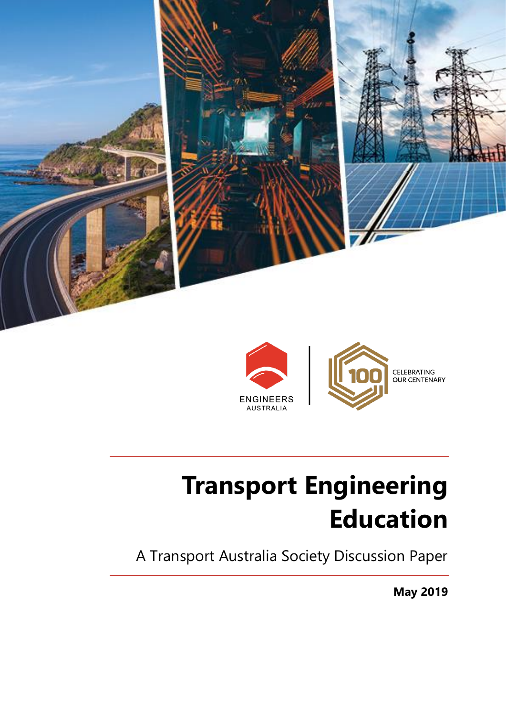



# **Transport Engineering Education**

A Transport Australia Society Discussion Paper

**May 2019**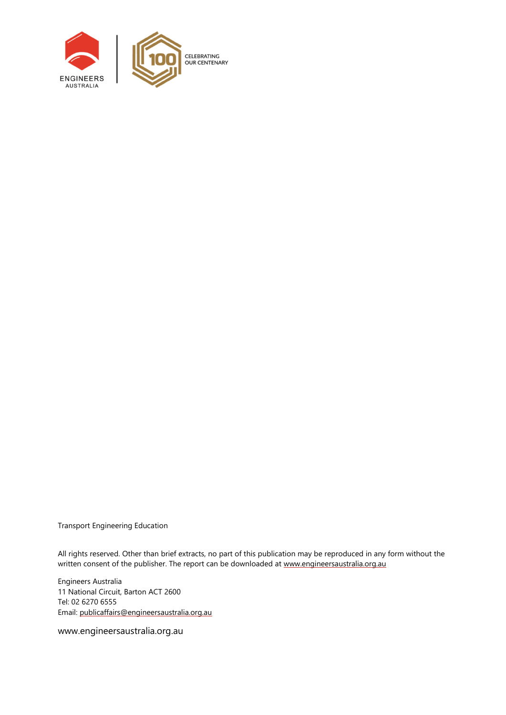

Transport Engineering Education

All rights reserved. Other than brief extracts, no part of this publication may be reproduced in any form without the written consent of the publisher. The report can be downloaded at [www.engineersaustralia.org.au](file://///EACBR-FILES/Volumes/eacbr-files.DATA/national/IEAust/Shared/MarkComm/_EA%20GRAPHIC%20DESIGN/P/Policy/660610%20Policy%20Report%20-%20Word%20Template%20Update/Working/www.engineersaustralia.org.au)

Engineers Australia 11 National Circuit, Barton ACT 2600 Tel: 02 6270 6555 Email[: publicaffairs@engineersaustralia.org.au](mailto:publicaffairs@engineersaustralia.org.au)

www.engineersaustralia.org.au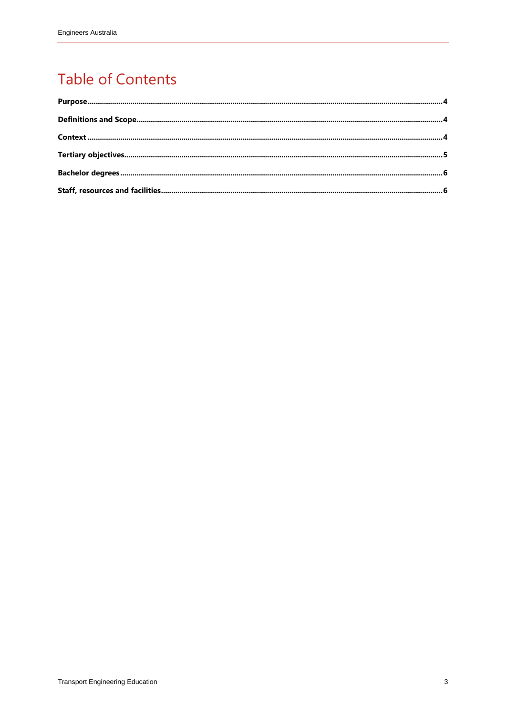#### **Table of Contents**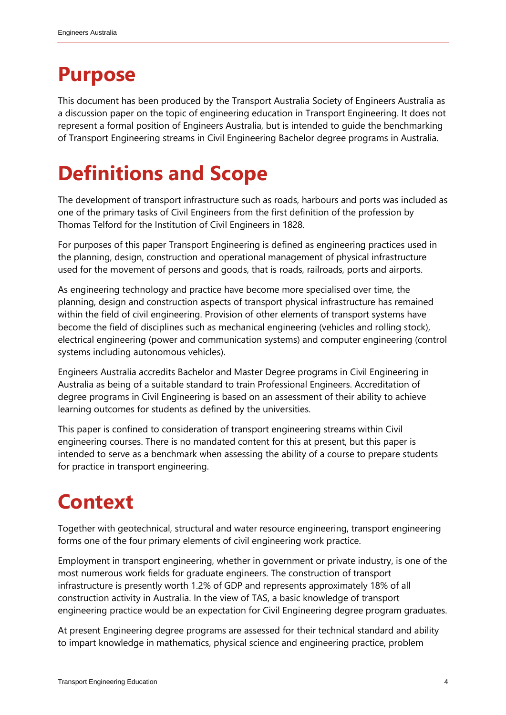#### <span id="page-3-0"></span>**Purpose**

This document has been produced by the Transport Australia Society of Engineers Australia as a discussion paper on the topic of engineering education in Transport Engineering. It does not represent a formal position of Engineers Australia, but is intended to guide the benchmarking of Transport Engineering streams in Civil Engineering Bachelor degree programs in Australia.

# <span id="page-3-1"></span>**Definitions and Scope**

The development of transport infrastructure such as roads, harbours and ports was included as one of the primary tasks of Civil Engineers from the first definition of the profession by Thomas Telford for the Institution of Civil Engineers in 1828.

For purposes of this paper Transport Engineering is defined as engineering practices used in the planning, design, construction and operational management of physical infrastructure used for the movement of persons and goods, that is roads, railroads, ports and airports.

As engineering technology and practice have become more specialised over time, the planning, design and construction aspects of transport physical infrastructure has remained within the field of civil engineering. Provision of other elements of transport systems have become the field of disciplines such as mechanical engineering (vehicles and rolling stock), electrical engineering (power and communication systems) and computer engineering (control systems including autonomous vehicles).

Engineers Australia accredits Bachelor and Master Degree programs in Civil Engineering in Australia as being of a suitable standard to train Professional Engineers. Accreditation of degree programs in Civil Engineering is based on an assessment of their ability to achieve learning outcomes for students as defined by the universities.

This paper is confined to consideration of transport engineering streams within Civil engineering courses. There is no mandated content for this at present, but this paper is intended to serve as a benchmark when assessing the ability of a course to prepare students for practice in transport engineering.

# <span id="page-3-2"></span>**Context**

Together with geotechnical, structural and water resource engineering, transport engineering forms one of the four primary elements of civil engineering work practice.

Employment in transport engineering, whether in government or private industry, is one of the most numerous work fields for graduate engineers. The construction of transport infrastructure is presently worth 1.2% of GDP and represents approximately 18% of all construction activity in Australia. In the view of TAS, a basic knowledge of transport engineering practice would be an expectation for Civil Engineering degree program graduates.

At present Engineering degree programs are assessed for their technical standard and ability to impart knowledge in mathematics, physical science and engineering practice, problem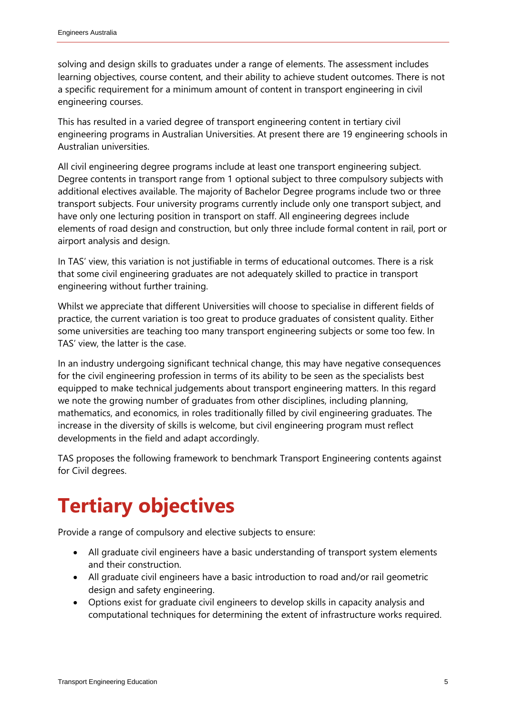solving and design skills to graduates under a range of elements. The assessment includes learning objectives, course content, and their ability to achieve student outcomes. There is not a specific requirement for a minimum amount of content in transport engineering in civil engineering courses.

This has resulted in a varied degree of transport engineering content in tertiary civil engineering programs in Australian Universities. At present there are 19 engineering schools in Australian universities.

All civil engineering degree programs include at least one transport engineering subject. Degree contents in transport range from 1 optional subject to three compulsory subjects with additional electives available. The majority of Bachelor Degree programs include two or three transport subjects. Four university programs currently include only one transport subject, and have only one lecturing position in transport on staff. All engineering degrees include elements of road design and construction, but only three include formal content in rail, port or airport analysis and design.

In TAS' view, this variation is not justifiable in terms of educational outcomes. There is a risk that some civil engineering graduates are not adequately skilled to practice in transport engineering without further training.

Whilst we appreciate that different Universities will choose to specialise in different fields of practice, the current variation is too great to produce graduates of consistent quality. Either some universities are teaching too many transport engineering subjects or some too few. In TAS' view, the latter is the case.

In an industry undergoing significant technical change, this may have negative consequences for the civil engineering profession in terms of its ability to be seen as the specialists best equipped to make technical judgements about transport engineering matters. In this regard we note the growing number of graduates from other disciplines, including planning, mathematics, and economics, in roles traditionally filled by civil engineering graduates. The increase in the diversity of skills is welcome, but civil engineering program must reflect developments in the field and adapt accordingly.

TAS proposes the following framework to benchmark Transport Engineering contents against for Civil degrees.

## <span id="page-4-0"></span>**Tertiary objectives**

Provide a range of compulsory and elective subjects to ensure:

- All graduate civil engineers have a basic understanding of transport system elements and their construction.
- All graduate civil engineers have a basic introduction to road and/or rail geometric design and safety engineering.
- Options exist for graduate civil engineers to develop skills in capacity analysis and computational techniques for determining the extent of infrastructure works required.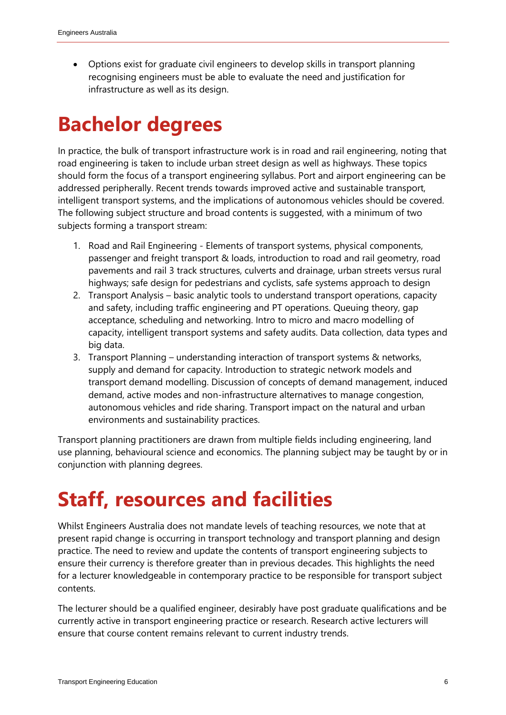Options exist for graduate civil engineers to develop skills in transport planning recognising engineers must be able to evaluate the need and justification for infrastructure as well as its design.

### <span id="page-5-0"></span>**Bachelor degrees**

In practice, the bulk of transport infrastructure work is in road and rail engineering, noting that road engineering is taken to include urban street design as well as highways. These topics should form the focus of a transport engineering syllabus. Port and airport engineering can be addressed peripherally. Recent trends towards improved active and sustainable transport, intelligent transport systems, and the implications of autonomous vehicles should be covered. The following subject structure and broad contents is suggested, with a minimum of two subjects forming a transport stream:

- 1. Road and Rail Engineering Elements of transport systems, physical components, passenger and freight transport & loads, introduction to road and rail geometry, road pavements and rail 3 track structures, culverts and drainage, urban streets versus rural highways; safe design for pedestrians and cyclists, safe systems approach to design
- 2. Transport Analysis basic analytic tools to understand transport operations, capacity and safety, including traffic engineering and PT operations. Queuing theory, gap acceptance, scheduling and networking. Intro to micro and macro modelling of capacity, intelligent transport systems and safety audits. Data collection, data types and big data.
- 3. Transport Planning understanding interaction of transport systems & networks, supply and demand for capacity. Introduction to strategic network models and transport demand modelling. Discussion of concepts of demand management, induced demand, active modes and non-infrastructure alternatives to manage congestion, autonomous vehicles and ride sharing. Transport impact on the natural and urban environments and sustainability practices.

Transport planning practitioners are drawn from multiple fields including engineering, land use planning, behavioural science and economics. The planning subject may be taught by or in conjunction with planning degrees.

#### <span id="page-5-1"></span>**Staff, resources and facilities**

Whilst Engineers Australia does not mandate levels of teaching resources, we note that at present rapid change is occurring in transport technology and transport planning and design practice. The need to review and update the contents of transport engineering subjects to ensure their currency is therefore greater than in previous decades. This highlights the need for a lecturer knowledgeable in contemporary practice to be responsible for transport subject contents.

The lecturer should be a qualified engineer, desirably have post graduate qualifications and be currently active in transport engineering practice or research. Research active lecturers will ensure that course content remains relevant to current industry trends.